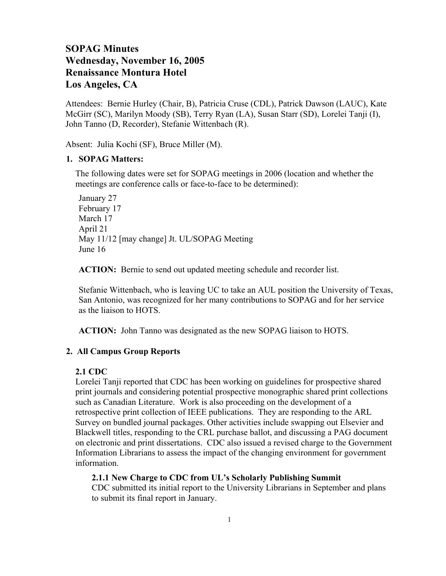# **SOPAG Minutes Wednesday, November 16, 2005 Renaissance Montura Hotel Los Angeles, CA**

Attendees: Bernie Hurley (Chair, B), Patricia Cruse (CDL), Patrick Dawson (LAUC), Kate McGirr (SC), Marilyn Moody (SB), Terry Ryan (LA), Susan Starr (SD), Lorelei Tanji (I), John Tanno (D, Recorder), Stefanie Wittenbach (R).

Absent: Julia Kochi (SF), Bruce Miller (M).

#### **1. SOPAG Matters:**

The following dates were set for SOPAG meetings in 2006 (location and whether the meetings are conference calls or face-to-face to be determined):

January 27 February 17 March 17 April 21 May 11/12 [may change] Jt. UL/SOPAG Meeting June 16

**ACTION:** Bernie to send out updated meeting schedule and recorder list.

Stefanie Wittenbach, who is leaving UC to take an AUL position the University of Texas, San Antonio, was recognized for her many contributions to SOPAG and for her service as the liaison to HOTS.

**ACTION:** John Tanno was designated as the new SOPAG liaison to HOTS.

# **2. All Campus Group Reports**

## **2.1 CDC**

Lorelei Tanji reported that CDC has been working on guidelines for prospective shared print journals and considering potential prospective monographic shared print collections such as Canadian Literature. Work is also proceeding on the development of a retrospective print collection of IEEE publications. They are responding to the ARL Survey on bundled journal packages. Other activities include swapping out Elsevier and Blackwell titles, responding to the CRL purchase ballot, and discussing a PAG document on electronic and print dissertations. CDC also issued a revised charge to the Government Information Librarians to assess the impact of the changing environment for government information.

**2.1.1 New Charge to CDC from UL's Scholarly Publishing Summit**

CDC submitted its initial report to the University Librarians in September and plans to submit its final report in January.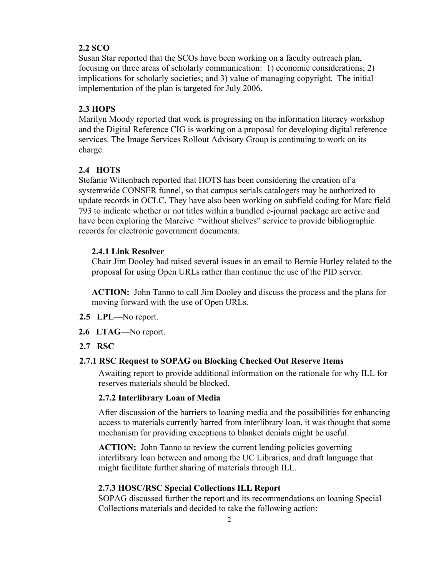# **2.2 SCO**

Susan Star reported that the SCOs have been working on a faculty outreach plan, focusing on three areas of scholarly communication: 1) economic considerations; 2) implications for scholarly societies; and 3) value of managing copyright. The initial implementation of the plan is targeted for July 2006.

# **2.3 HOPS**

Marilyn Moody reported that work is progressing on the information literacy workshop and the Digital Reference CIG is working on a proposal for developing digital reference services. The Image Services Rollout Advisory Group is continuing to work on its charge.

#### **2.4 HOTS**

Stefanie Wittenbach reported that HOTS has been considering the creation of a systemwide CONSER funnel, so that campus serials catalogers may be authorized to update records in OCLC. They have also been working on subfield coding for Marc field 793 to indicate whether or not titles within a bundled e-journal package are active and have been exploring the Marcive "without shelves" service to provide bibliographic records for electronic government documents.

# **2.4.1 Link Resolver**

Chair Jim Dooley had raised several issues in an email to Bernie Hurley related to the proposal for using Open URLs rather than continue the use of the PID server.

**ACTION:** John Tanno to call Jim Dooley and discuss the process and the plans for moving forward with the use of Open URLs.

- **2.5 LPL**—No report.
- **2.6 LTAG**—No report.
- **2.7 RSC**

#### **2.7.1 RSC Request to SOPAG on Blocking Checked Out Reserve Items**

Awaiting report to provide additional information on the rationale for why ILL for reserves materials should be blocked.

#### **2.7.2 Interlibrary Loan of Media**

After discussion of the barriers to loaning media and the possibilities for enhancing access to materials currently barred from interlibrary loan, it was thought that some mechanism for providing exceptions to blanket denials might be useful.

**ACTION:** John Tanno to review the current lending policies governing interlibrary loan between and among the UC Libraries, and draft language that might facilitate further sharing of materials through ILL.

#### **2.7.3 HOSC/RSC Special Collections ILL Report**

SOPAG discussed further the report and its recommendations on loaning Special Collections materials and decided to take the following action: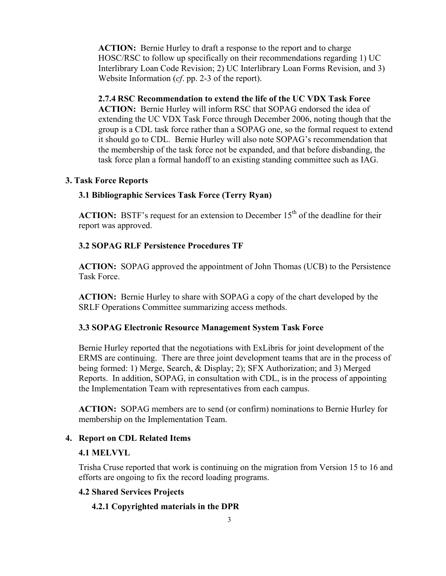**ACTION:** Bernie Hurley to draft a response to the report and to charge HOSC/RSC to follow up specifically on their recommendations regarding 1) UC Interlibrary Loan Code Revision; 2) UC Interlibrary Loan Forms Revision, and 3) Website Information (*cf*. pp. 2-3 of the report).

**2.7.4 RSC Recommendation to extend the life of the UC VDX Task Force**

**ACTION:** Bernie Hurley will inform RSC that SOPAG endorsed the idea of extending the UC VDX Task Force through December 2006, noting though that the group is a CDL task force rather than a SOPAG one, so the formal request to extend it should go to CDL. Bernie Hurley will also note SOPAG's recommendation that the membership of the task force not be expanded, and that before disbanding, the task force plan a formal handoff to an existing standing committee such as IAG.

# **3. Task Force Reports**

## **3.1 Bibliographic Services Task Force (Terry Ryan)**

**ACTION:** BSTF's request for an extension to December  $15<sup>th</sup>$  of the deadline for their report was approved.

## **3.2 SOPAG RLF Persistence Procedures TF**

**ACTION:** SOPAG approved the appointment of John Thomas (UCB) to the Persistence Task Force.

**ACTION:** Bernie Hurley to share with SOPAG a copy of the chart developed by the SRLF Operations Committee summarizing access methods.

## **3.3 SOPAG Electronic Resource Management System Task Force**

Bernie Hurley reported that the negotiations with ExLibris for joint development of the ERMS are continuing. There are three joint development teams that are in the process of being formed: 1) Merge, Search, & Display; 2); SFX Authorization; and 3) Merged Reports. In addition, SOPAG, in consultation with CDL, is in the process of appointing the Implementation Team with representatives from each campus.

**ACTION:** SOPAG members are to send (or confirm) nominations to Bernie Hurley for membership on the Implementation Team.

#### **4. Report on CDL Related Items**

## **4.1 MELVYL**

Trisha Cruse reported that work is continuing on the migration from Version 15 to 16 and efforts are ongoing to fix the record loading programs.

#### **4.2 Shared Services Projects**

#### **4.2.1 Copyrighted materials in the DPR**